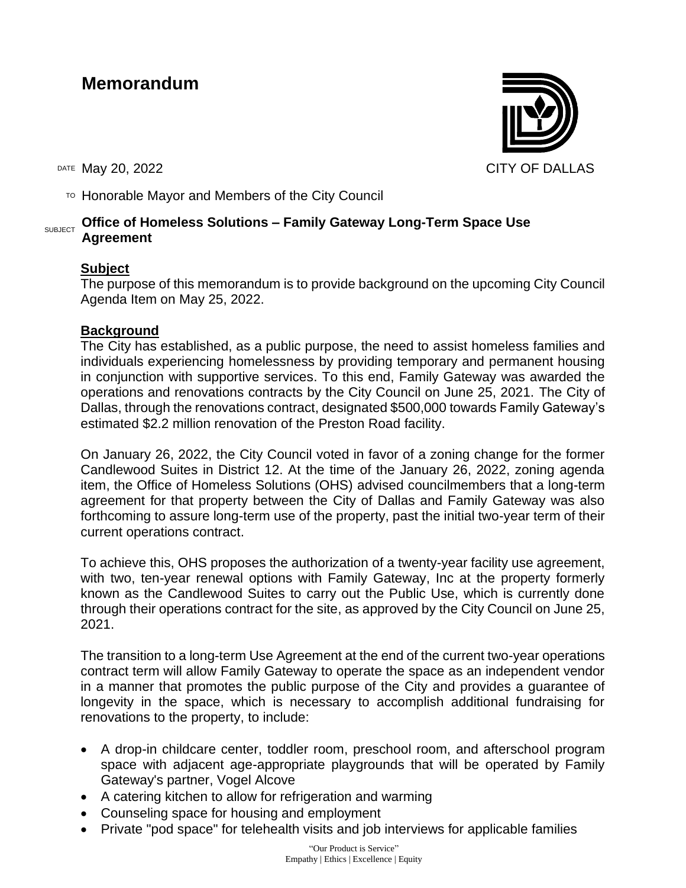# **Memorandum**

TO Honorable Mayor and Members of the City Council

#### SUBJECT **Office of Homeless Solutions – Family Gateway Long-Term Space Use Agreement**

### **Subject**

The purpose of this memorandum is to provide background on the upcoming City Council Agenda Item on May 25, 2022.

#### **Background**

The City has established, as a public purpose, the need to assist homeless families and individuals experiencing homelessness by providing temporary and permanent housing in conjunction with supportive services. To this end, Family Gateway was awarded the operations and renovations contracts by the City Council on June 25, 2021. The City of Dallas, through the renovations contract, designated \$500,000 towards Family Gateway's estimated \$2.2 million renovation of the Preston Road facility.

On January 26, 2022, the City Council voted in favor of a zoning change for the former Candlewood Suites in District 12. At the time of the January 26, 2022, zoning agenda item, the Office of Homeless Solutions (OHS) advised councilmembers that a long-term agreement for that property between the City of Dallas and Family Gateway was also forthcoming to assure long-term use of the property, past the initial two-year term of their current operations contract.

To achieve this, OHS proposes the authorization of a twenty-year facility use agreement, with two, ten-year renewal options with Family Gateway, Inc at the property formerly known as the Candlewood Suites to carry out the Public Use, which is currently done through their operations contract for the site, as approved by the City Council on June 25, 2021.

The transition to a long-term Use Agreement at the end of the current two-year operations contract term will allow Family Gateway to operate the space as an independent vendor in a manner that promotes the public purpose of the City and provides a guarantee of longevity in the space, which is necessary to accomplish additional fundraising for renovations to the property, to include:

- A drop-in childcare center, toddler room, preschool room, and afterschool program space with adjacent age-appropriate playgrounds that will be operated by Family Gateway's partner, Vogel Alcove
- A catering kitchen to allow for refrigeration and warming
- Counseling space for housing and employment
- Private "pod space" for telehealth visits and job interviews for applicable families